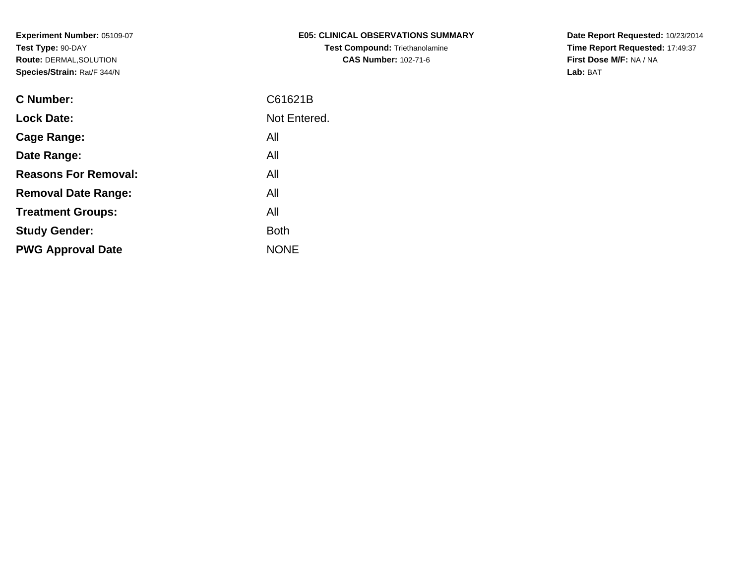| <b>E05: CLINICAL OBSERVATIONS SUMMARY</b> |
|-------------------------------------------|
| <b>Test Compound: Triethanolamine</b>     |
| <b>CAS Number: 102-71-6</b>               |

**Date Report Requested:** 10/23/2014 **Time Report Requested:** 17:49:37**First Dose M/F:** NA / NA**Lab:** BAT

| <b>C</b> Number:            | C61621B      |
|-----------------------------|--------------|
| <b>Lock Date:</b>           | Not Entered. |
| Cage Range:                 | All          |
| Date Range:                 | All          |
| <b>Reasons For Removal:</b> | All          |
| <b>Removal Date Range:</b>  | All          |
| <b>Treatment Groups:</b>    | All          |
| <b>Study Gender:</b>        | <b>Both</b>  |
| <b>PWG Approval Date</b>    | <b>NONE</b>  |
|                             |              |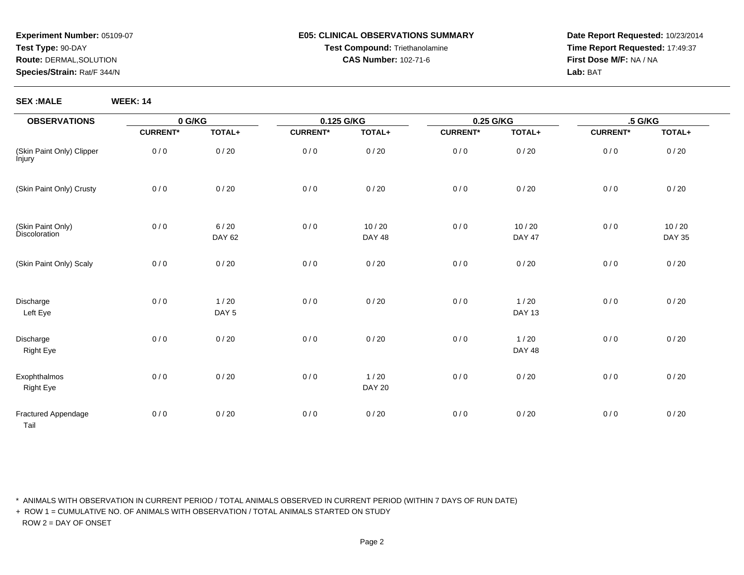#### **E05: CLINICAL OBSERVATIONS SUMMARYTest Compound:** Triethanolamine**CAS Number:** 102-71-6

**Date Report Requested:** 10/23/2014**Time Report Requested:** 17:49:37**First Dose M/F:** NA / NA**Lab:** BAT

**SEX :MALE WEEK: 14**

| <b>OBSERVATIONS</b>                 | 0 G/KG          |                            | 0.125 G/KG      |                        | 0.25 G/KG       |                         | .5 G/KG         |                        |  |
|-------------------------------------|-----------------|----------------------------|-----------------|------------------------|-----------------|-------------------------|-----------------|------------------------|--|
|                                     | <b>CURRENT*</b> | TOTAL+                     | <b>CURRENT*</b> | TOTAL+                 | <b>CURRENT*</b> | TOTAL+                  | <b>CURRENT*</b> | TOTAL+                 |  |
| (Skin Paint Only) Clipper<br>İnjury | 0/0             | 0/20                       | 0/0             | 0/20                   | 0/0             | 0/20                    | 0/0             | 0/20                   |  |
| (Skin Paint Only) Crusty            | 0/0             | $0/20$                     | 0/0             | 0/20                   | 0/0             | 0/20                    | 0/0             | 0/20                   |  |
| (Skin Paint Only)<br>Discoloration  | 0/0             | $6/20$<br>DAY 62           | 0/0             | 10/20<br><b>DAY 48</b> | 0/0             | 10/20<br><b>DAY 47</b>  | 0/0             | 10/20<br><b>DAY 35</b> |  |
| (Skin Paint Only) Scaly             | 0/0             | 0/20                       | 0/0             | 0/20                   | 0/0             | 0/20                    | 0/0             | 0/20                   |  |
| Discharge<br>Left Eye               | 0/0             | $1/20$<br>DAY <sub>5</sub> | 0/0             | 0/20                   | 0/0             | 1/20<br><b>DAY 13</b>   | 0/0             | 0/20                   |  |
| Discharge<br><b>Right Eye</b>       | 0/0             | 0/20                       | 0/0             | 0/20                   | 0/0             | $1/20$<br><b>DAY 48</b> | 0/0             | 0/20                   |  |
| Exophthalmos<br><b>Right Eye</b>    | 0/0             | 0/20                       | 0/0             | 1/20<br><b>DAY 20</b>  | 0/0             | 0/20                    | 0/0             | 0/20                   |  |
| Fractured Appendage<br>Tail         | 0/0             | 0/20                       | 0/0             | 0/20                   | 0/0             | 0/20                    | 0/0             | 0/20                   |  |

\* ANIMALS WITH OBSERVATION IN CURRENT PERIOD / TOTAL ANIMALS OBSERVED IN CURRENT PERIOD (WITHIN 7 DAYS OF RUN DATE)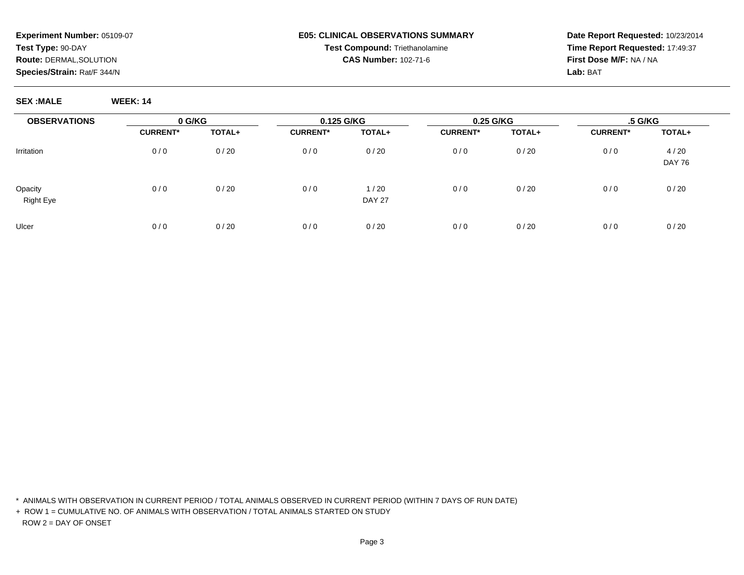#### **E05: CLINICAL OBSERVATIONS SUMMARYTest Compound:** Triethanolamine**CAS Number:** 102-71-6

**Date Report Requested:** 10/23/2014**Time Report Requested:** 17:49:37**First Dose M/F:** NA / NA**Lab:** BAT

**SEX :MALE WEEK: 14**

| <b>OBSERVATIONS</b>         | 0 G/KG          |        | 0.125 G/KG      |                       | 0.25 G/KG       |        | .5 G/KG         |                       |
|-----------------------------|-----------------|--------|-----------------|-----------------------|-----------------|--------|-----------------|-----------------------|
|                             | <b>CURRENT*</b> | TOTAL+ | <b>CURRENT*</b> | TOTAL+                | <b>CURRENT*</b> | TOTAL+ | <b>CURRENT*</b> | TOTAL+                |
| Irritation                  | 0/0             | 0/20   | 0/0             | 0/20                  | 0/0             | 0/20   | 0/0             | 4/20<br><b>DAY 76</b> |
| Opacity<br><b>Right Eye</b> | 0/0             | 0/20   | 0/0             | 1/20<br><b>DAY 27</b> | 0/0             | 0/20   | 0/0             | 0/20                  |
| Ulcer                       | 0/0             | 0/20   | 0/0             | 0/20                  | 0/0             | 0/20   | 0/0             | 0/20                  |

\* ANIMALS WITH OBSERVATION IN CURRENT PERIOD / TOTAL ANIMALS OBSERVED IN CURRENT PERIOD (WITHIN 7 DAYS OF RUN DATE)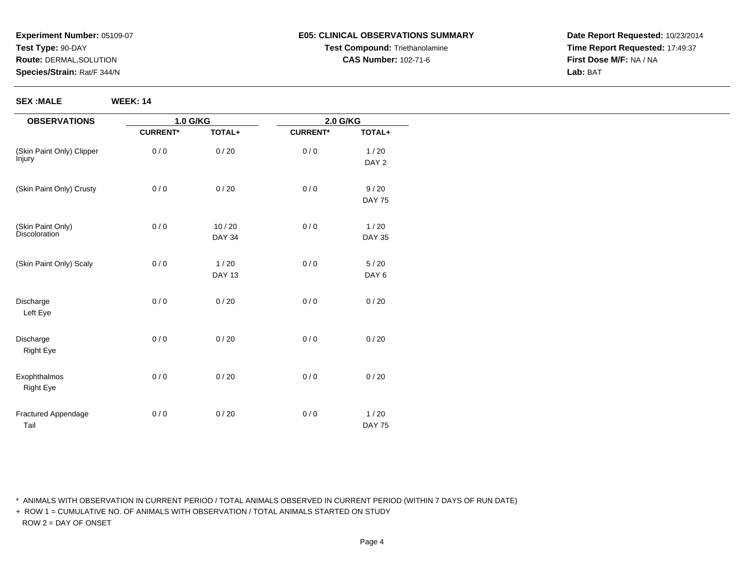#### **E05: CLINICAL OBSERVATIONS SUMMARYTest Compound:** Triethanolamine**CAS Number:** 102-71-6

**Date Report Requested:** 10/23/2014**Time Report Requested:** 17:49:37**First Dose M/F:** NA / NA**Lab:** BAT

**SEX :MALE WEEK: 14**

| <b>OBSERVATIONS</b>       | 1.0 G/KG        |               | 2.0 G/KG        |               |
|---------------------------|-----------------|---------------|-----------------|---------------|
|                           | <b>CURRENT*</b> | TOTAL+        | <b>CURRENT*</b> | TOTAL+        |
| (Skin Paint Only) Clipper | 0/0             | 0/20          | 0/0             | 1/20          |
| <i>injury</i>             |                 |               |                 | DAY 2         |
| (Skin Paint Only) Crusty  | 0/0             | 0/20          | 0/0             | 9/20          |
|                           |                 |               |                 | <b>DAY 75</b> |
| (Skin Paint Only)         | 0/0             | $10/20$       | 0/0             | 1/20          |
| <b>Discoloration</b>      |                 | <b>DAY 34</b> |                 | <b>DAY 35</b> |
| (Skin Paint Only) Scaly   | 0/0             | 1/20          | 0/0             | 5/20          |
|                           |                 | <b>DAY 13</b> |                 | DAY 6         |
| Discharge<br>Left Eye     | 0/0             | 0/20          | 0/0             | 0/20          |
| Discharge<br>Right Eye    | 0/0             | 0/20          | 0/0             | 0/20          |
| Exophthalmos<br>Right Eye | 0/0             | 0/20          | 0/0             | 0/20          |
| Fractured Appendage       | 0/0             | 0/20          | 0/0             | 1/20          |
| Tail                      |                 |               |                 | <b>DAY 75</b> |

\* ANIMALS WITH OBSERVATION IN CURRENT PERIOD / TOTAL ANIMALS OBSERVED IN CURRENT PERIOD (WITHIN 7 DAYS OF RUN DATE)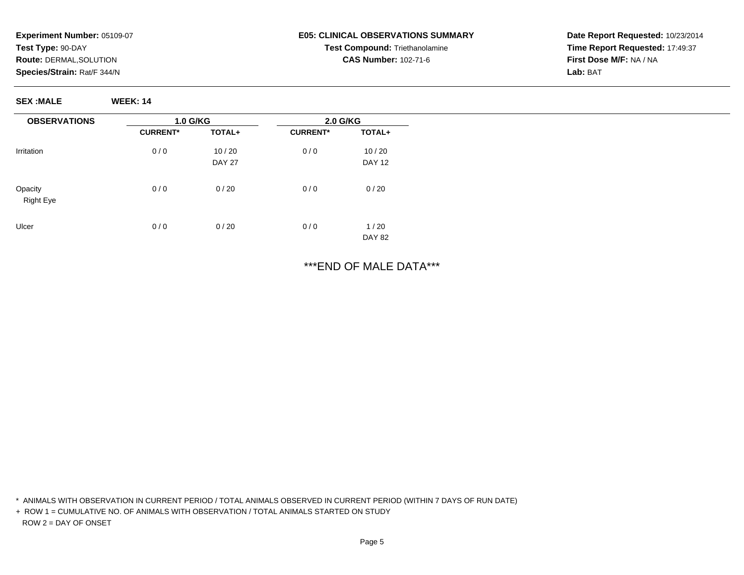**SEX :MALE WEEK: 14**

## **E05: CLINICAL OBSERVATIONS SUMMARYTest Compound:** Triethanolamine**CAS Number:** 102-71-6

**Date Report Requested:** 10/23/2014**Time Report Requested:** 17:49:37**First Dose M/F:** NA / NA**Lab:** BAT

**OBSERVATIONS**Irritation**Opacity**  Right EyeUlcer**1.0 G/KGCURRENT\* TOTAL+**0 / 0 10 / 20 DAY 270 / 0 0 / 20  $0/0$  $0/20$ **2.0 G/KGCURRENT\* TOTAL+**0 / 0 10 / 20 DAY 12 $0/0$  0 / 20  $0/0$  $1/20$ DAY 82

\*\*\*END OF MALE DATA\*\*\*

\* ANIMALS WITH OBSERVATION IN CURRENT PERIOD / TOTAL ANIMALS OBSERVED IN CURRENT PERIOD (WITHIN 7 DAYS OF RUN DATE)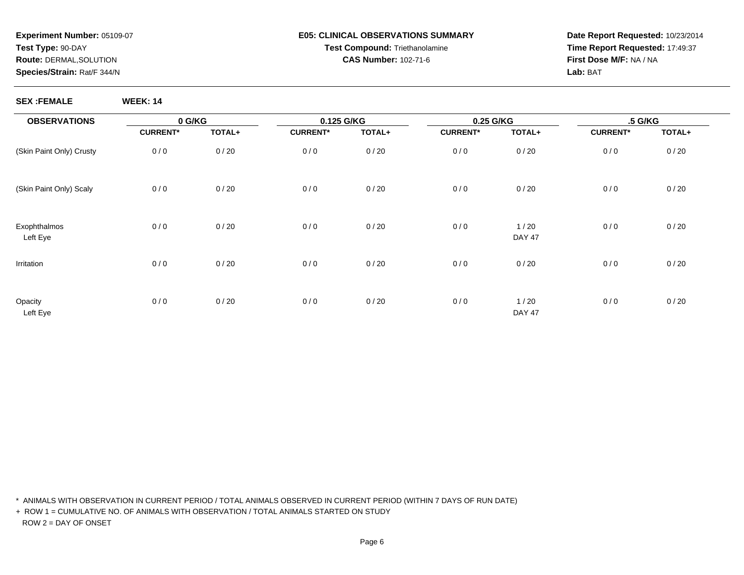#### **E05: CLINICAL OBSERVATIONS SUMMARYTest Compound:** Triethanolamine**CAS Number:** 102-71-6

**Date Report Requested:** 10/23/2014**Time Report Requested:** 17:49:37**First Dose M/F:** NA / NA**Lab:** BAT

**SEX :FEMALE WEEK: 14**

| <b>OBSERVATIONS</b>      |                 | 0 G/KG |                 | 0.125 G/KG |                 | 0.25 G/KG             |                 | .5 G/KG |  |
|--------------------------|-----------------|--------|-----------------|------------|-----------------|-----------------------|-----------------|---------|--|
|                          | <b>CURRENT*</b> | TOTAL+ | <b>CURRENT*</b> | TOTAL+     | <b>CURRENT*</b> | TOTAL+                | <b>CURRENT*</b> | TOTAL+  |  |
| (Skin Paint Only) Crusty | 0/0             | 0/20   | 0/0             | 0/20       | 0/0             | 0/20                  | 0/0             | 0/20    |  |
| (Skin Paint Only) Scaly  | 0/0             | 0/20   | 0/0             | 0/20       | 0/0             | 0/20                  | 0/0             | 0/20    |  |
| Exophthalmos<br>Left Eye | 0/0             | 0/20   | 0/0             | 0/20       | 0/0             | 1/20<br><b>DAY 47</b> | 0/0             | 0/20    |  |
| Irritation               | 0/0             | 0/20   | 0/0             | 0/20       | 0/0             | 0/20                  | $0/0$           | 0/20    |  |
| Opacity<br>Left Eye      | 0/0             | 0/20   | 0/0             | 0/20       | 0/0             | 1/20<br><b>DAY 47</b> | $0/0$           | 0/20    |  |

\* ANIMALS WITH OBSERVATION IN CURRENT PERIOD / TOTAL ANIMALS OBSERVED IN CURRENT PERIOD (WITHIN 7 DAYS OF RUN DATE)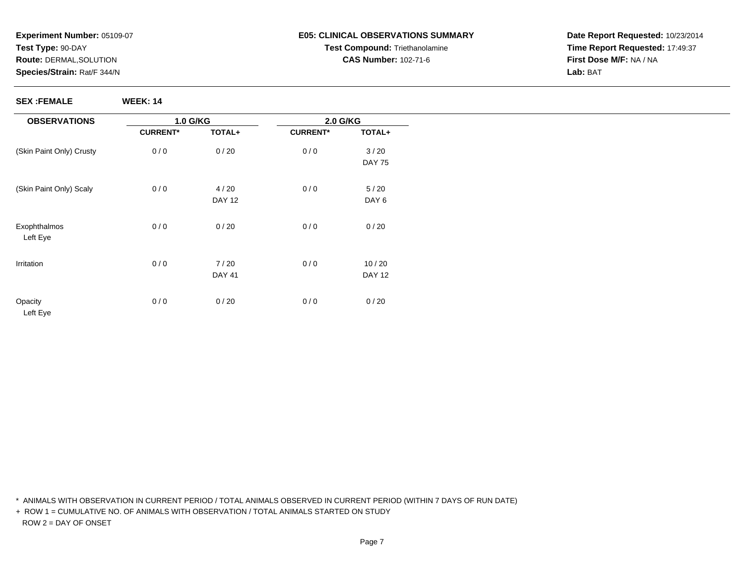# **E05: CLINICAL OBSERVATIONS SUMMARYTest Compound:** Triethanolamine**CAS Number:** 102-71-6

**Date Report Requested:** 10/23/2014**Time Report Requested:** 17:49:37**First Dose M/F:** NA / NA**Lab:** BAT

**SEX :FEMALE WEEK: 14**

\* ANIMALS WITH OBSERVATION IN CURRENT PERIOD / TOTAL ANIMALS OBSERVED IN CURRENT PERIOD (WITHIN 7 DAYS OF RUN DATE)